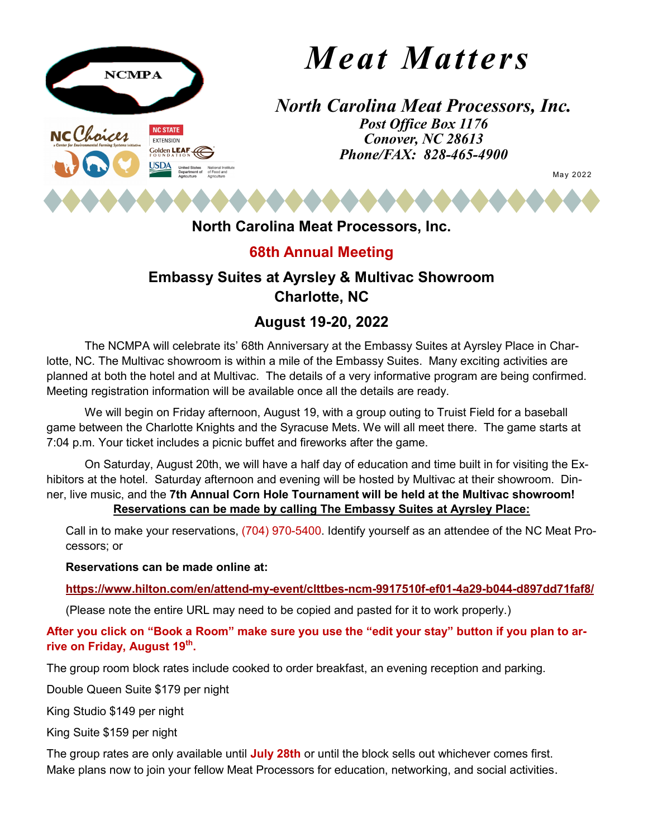

# *Meat Matters*

*North Carolina Meat Processors, Inc. Post Office Box 1176 Conover, NC 28613 Phone/FAX: 828-465-4900*

May 2022

## **North Carolina Meat Processors, Inc.**

## **68th Annual Meeting**

## **Embassy Suites at Ayrsley & Multivac Showroom Charlotte, NC**

## **August 19-20, 2022**

planned at both the hotel and at Multivac. The details of a very informative program are being confirmed. The NCMPA will celebrate its' 68th Anniversary at the Embassy Suites at Ayrsley Place in Charlotte, NC. The Multivac showroom is within a mile of the Embassy Suites. Many exciting activities are Meeting registration information will be available once all the details are ready.

We will begin on Friday afternoon, August 19, with a group outing to Truist Field for a baseball game between the Charlotte Knights and the Syracuse Mets. We will all meet there. The game starts at 7:04 p.m. Your ticket includes a picnic buffet and fireworks after the game.

On Saturday, August 20th, we will have a half day of education and time built in for visiting the Exhibitors at the hotel. Saturday afternoon and evening will be hosted by Multivac at their showroom. Dinner, live music, and the **7th Annual Corn Hole Tournament will be held at the Multivac showroom! Reservations can be made by calling The Embassy Suites at Ayrsley Place:**

Call in to make your reservations, (704) 970-5400. Identify yourself as an attendee of the NC Meat Processors; or

#### **Reservations can be made online at:**

**[https://www.hilton.com/en/attend](https://www.hilton.com/en/attend-my-event/clttbes-ncm-9917510f-ef01-4a29-b044-d897dd71faf8/)-my-event/clttbes-ncm-9917510f-ef01-4a29-b044-d897dd71faf8/**

(Please note the entire URL may need to be copied and pasted for it to work properly.)

**After you click on "Book a Room" make sure you use the "edit your stay" button if you plan to arrive on Friday, August 19th.** 

The group room block rates include cooked to order breakfast, an evening reception and parking.

Double Queen Suite \$179 per night

King Studio \$149 per night

King Suite \$159 per night

The group rates are only available until **July 28th** or until the block sells out whichever comes first. Make plans now to join your fellow Meat Processors for education, networking, and social activities.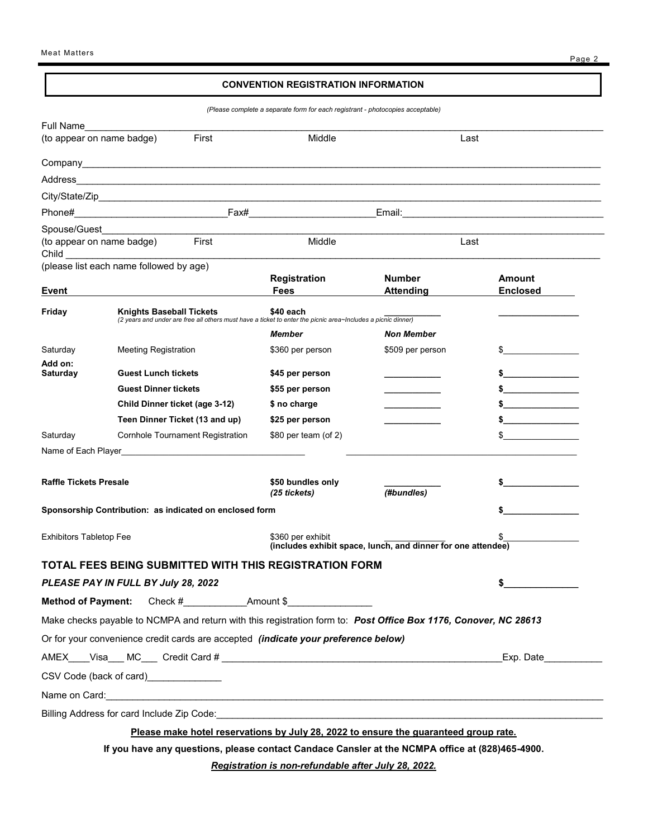#### **CONVENTION REGISTRATION INFORMATION**

*(Please complete a separate form for each registrant - photocopies acceptable)*

| Full Name                      |                                                                                                                                                                                                                                      |                                   |                                                              |                                                                                                                                                                                                                                |
|--------------------------------|--------------------------------------------------------------------------------------------------------------------------------------------------------------------------------------------------------------------------------------|-----------------------------------|--------------------------------------------------------------|--------------------------------------------------------------------------------------------------------------------------------------------------------------------------------------------------------------------------------|
| (to appear on name badge)      | First                                                                                                                                                                                                                                | Middle                            | Last                                                         |                                                                                                                                                                                                                                |
|                                |                                                                                                                                                                                                                                      |                                   |                                                              |                                                                                                                                                                                                                                |
| Address                        | <u> 1989 - Johann Harry Harry Harry Harry Harry Harry Harry Harry Harry Harry Harry Harry Harry Harry Harry Harry</u>                                                                                                                |                                   |                                                              |                                                                                                                                                                                                                                |
|                                |                                                                                                                                                                                                                                      |                                   |                                                              |                                                                                                                                                                                                                                |
|                                |                                                                                                                                                                                                                                      |                                   |                                                              |                                                                                                                                                                                                                                |
|                                | Spouse/Guest____________________                                                                                                                                                                                                     |                                   |                                                              |                                                                                                                                                                                                                                |
|                                | First<br>(to appear on name badge)                                                                                                                                                                                                   | Middle                            | Last                                                         |                                                                                                                                                                                                                                |
|                                | (please list each name followed by age)                                                                                                                                                                                              |                                   |                                                              |                                                                                                                                                                                                                                |
|                                |                                                                                                                                                                                                                                      | Registration                      | <b>Number</b>                                                | <b>Amount</b>                                                                                                                                                                                                                  |
| Event                          |                                                                                                                                                                                                                                      | <b>Fees</b>                       | <b>Attending</b>                                             | <b>Enclosed</b>                                                                                                                                                                                                                |
| Friday                         | <b>Knights Baseball Tickets</b><br>(2 years and under are free all others must have a ticket to enter the picnic area~Includes a picnic dinner)                                                                                      | \$40 each                         |                                                              |                                                                                                                                                                                                                                |
|                                |                                                                                                                                                                                                                                      | Member                            | <b>Non Member</b>                                            |                                                                                                                                                                                                                                |
| Saturday                       | <b>Meeting Registration</b>                                                                                                                                                                                                          | \$360 per person                  | \$509 per person                                             | $\sim$                                                                                                                                                                                                                         |
| Add on:<br>Saturday            | <b>Guest Lunch tickets</b>                                                                                                                                                                                                           | \$45 per person                   |                                                              | \$                                                                                                                                                                                                                             |
|                                | <b>Guest Dinner tickets</b>                                                                                                                                                                                                          | \$55 per person                   |                                                              | $\sim$ 5 and 5 and 6 and 6 and 6 and 6 and 6 and 6 and 6 and 6 and 6 and 6 and 6 and 6 and 6 and 6 and 6 and 6 and 6 and 6 and 6 and 6 and 6 and 6 and 6 and 6 and 6 and 6 and 6 and 6 and 6 and 6 and 6 and 6 and 6 and 6 and |
|                                | Child Dinner ticket (age 3-12)                                                                                                                                                                                                       | \$ no charge                      |                                                              | <u> 1989 - Johann Barn, mars ar breis an t-Amerikaansk kommunister (</u>                                                                                                                                                       |
|                                | Teen Dinner Ticket (13 and up)                                                                                                                                                                                                       | \$25 per person                   |                                                              |                                                                                                                                                                                                                                |
| Saturday                       | <b>Cornhole Tournament Registration</b>                                                                                                                                                                                              | $$80$ per team (of 2)             |                                                              |                                                                                                                                                                                                                                |
|                                |                                                                                                                                                                                                                                      |                                   |                                                              |                                                                                                                                                                                                                                |
|                                |                                                                                                                                                                                                                                      |                                   |                                                              |                                                                                                                                                                                                                                |
| <b>Raffle Tickets Presale</b>  |                                                                                                                                                                                                                                      | \$50 bundles only<br>(25 tickets) | (#bundles)                                                   |                                                                                                                                                                                                                                |
|                                | Sponsorship Contribution: as indicated on enclosed form                                                                                                                                                                              |                                   |                                                              |                                                                                                                                                                                                                                |
|                                |                                                                                                                                                                                                                                      |                                   |                                                              |                                                                                                                                                                                                                                |
| <b>Exhibitors Tabletop Fee</b> |                                                                                                                                                                                                                                      | \$360 per exhibit                 | (includes exhibit space, lunch, and dinner for one attendee) |                                                                                                                                                                                                                                |
|                                | TOTAL FEES BEING SUBMITTED WITH THIS REGISTRATION FORM                                                                                                                                                                               |                                   |                                                              |                                                                                                                                                                                                                                |
|                                | PLEASE PAY IN FULL BY July 28, 2022                                                                                                                                                                                                  |                                   |                                                              | \$                                                                                                                                                                                                                             |
| <b>Method of Payment:</b>      |                                                                                                                                                                                                                                      |                                   |                                                              |                                                                                                                                                                                                                                |
|                                | Make checks payable to NCMPA and return with this registration form to: Post Office Box 1176, Conover, NC 28613                                                                                                                      |                                   |                                                              |                                                                                                                                                                                                                                |
|                                | Or for your convenience credit cards are accepted (indicate your preference below)                                                                                                                                                   |                                   |                                                              |                                                                                                                                                                                                                                |
| Exp. Date                      |                                                                                                                                                                                                                                      |                                   |                                                              |                                                                                                                                                                                                                                |
|                                | CSV Code (back of card)_______________                                                                                                                                                                                               |                                   |                                                              |                                                                                                                                                                                                                                |
|                                | Name on Card: <u>2008 - 2008 - 2008 - 2009 - 2009 - 2009 - 2009 - 2009 - 2009 - 2009 - 2009 - 2009 - 2009 - 2009 - 2009 - 2009 - 2009 - 2009 - 2009 - 2009 - 2009 - 2009 - 2009 - 2009 - 2009 - 2009 - 2009 - 2009 - 2009 - 2009</u> |                                   |                                                              |                                                                                                                                                                                                                                |
|                                |                                                                                                                                                                                                                                      |                                   |                                                              |                                                                                                                                                                                                                                |
|                                | Please make hotel reservations by July 28, 2022 to ensure the guaranteed group rate.                                                                                                                                                 |                                   |                                                              |                                                                                                                                                                                                                                |
|                                | If you have any questions, please contact Candace Cansler at the NCMPA office at (828)465-4900.                                                                                                                                      |                                   |                                                              |                                                                                                                                                                                                                                |

*Registration is non-refundable after July 28, 2022.*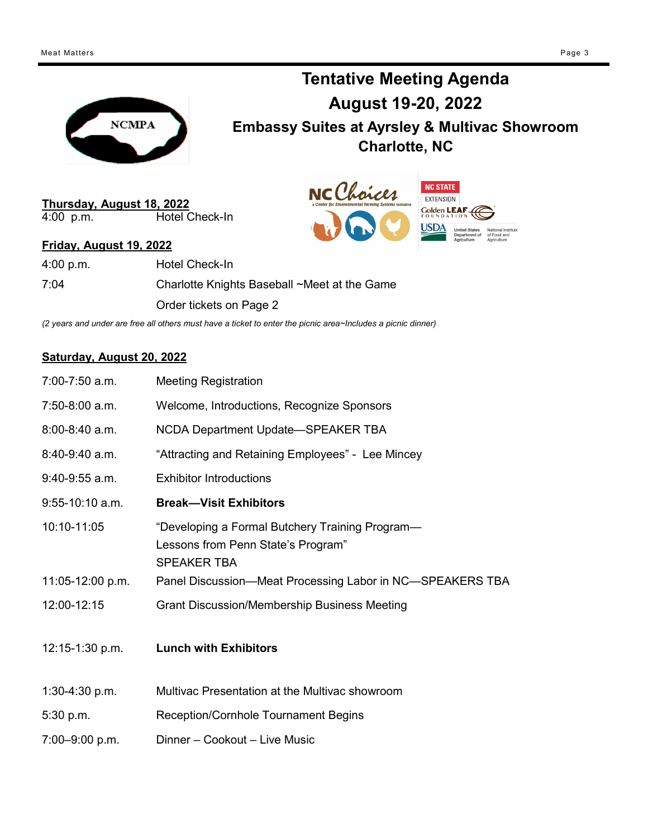Meat Matters Page 3



**Tentative Meeting Agenda August 19-20, 2022 Embassy Suites at Ayrsley & Multivac Showroom Charlotte, NC**



**Thursday, August 18, 2022** Hotel Check-In

#### **Friday, August 19, 2022**

4:00 p.m. Hotel Check-In

7:04 Charlotte Knights Baseball ~Meet at the Game Order tickets on Page 2

*(2 years and under are free all others must have a ticket to enter the picnic area~Includes a picnic dinner)*

#### **Saturday, August 20, 2022**

| 7:00-7:50 a.m.      | <b>Meeting Registration</b>                                                                                 |
|---------------------|-------------------------------------------------------------------------------------------------------------|
| $7:50-8:00$ a.m.    | Welcome, Introductions, Recognize Sponsors                                                                  |
| 8:00-8:40 a.m.      | NCDA Department Update-SPEAKER TBA                                                                          |
| 8:40-9:40 a.m.      | "Attracting and Retaining Employees" - Lee Mincey                                                           |
| $9:40-9:55$ a.m.    | <b>Exhibitor Introductions</b>                                                                              |
| $9:55-10:10$ a.m.   | <b>Break-Visit Exhibitors</b>                                                                               |
| 10:10-11:05         | "Developing a Formal Butchery Training Program—<br>Lessons from Penn State's Program"<br><b>SPEAKER TBA</b> |
| 11:05-12:00 p.m.    | Panel Discussion-Meat Processing Labor in NC-SPEAKERS TBA                                                   |
| 12:00-12:15         | <b>Grant Discussion/Membership Business Meeting</b>                                                         |
| $12:15 - 1:30$ p.m. | <b>Lunch with Exhibitors</b>                                                                                |
| 1:30-4:30 p.m.      | Multivac Presentation at the Multivac showroom                                                              |
| 5:30 p.m.           | Reception/Cornhole Tournament Begins                                                                        |
| 7:00-9:00 p.m.      | Dinner - Cookout - Live Music                                                                               |
|                     |                                                                                                             |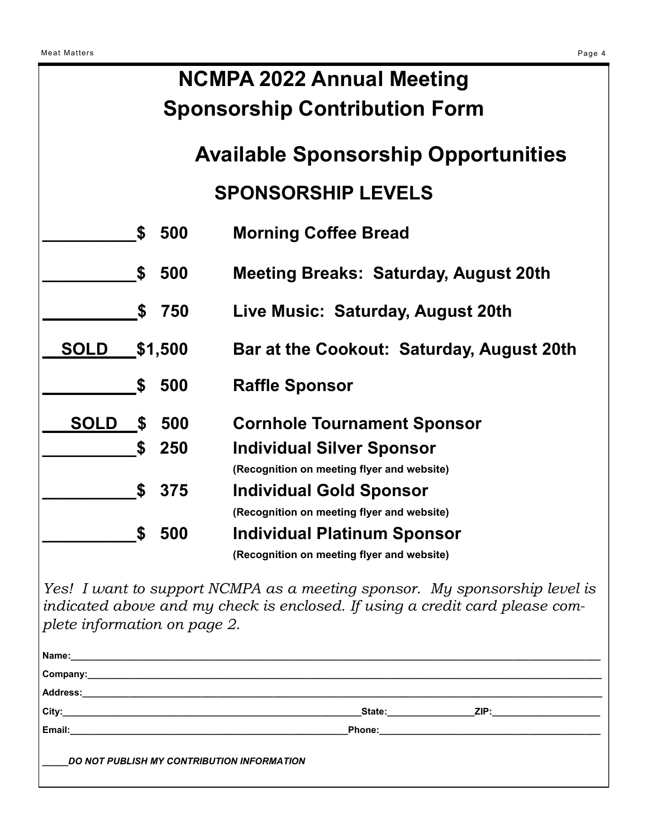| <b>Meat Matters</b>              |                                            |         |                                              | Page 4 |  |  |
|----------------------------------|--------------------------------------------|---------|----------------------------------------------|--------|--|--|
| <b>NCMPA 2022 Annual Meeting</b> |                                            |         |                                              |        |  |  |
|                                  | <b>Sponsorship Contribution Form</b>       |         |                                              |        |  |  |
|                                  | <b>Available Sponsorship Opportunities</b> |         |                                              |        |  |  |
|                                  | <b>SPONSORSHIP LEVELS</b>                  |         |                                              |        |  |  |
|                                  | S                                          | 500     | <b>Morning Coffee Bread</b>                  |        |  |  |
|                                  | \$                                         | 500     | <b>Meeting Breaks: Saturday, August 20th</b> |        |  |  |
|                                  | \$                                         | 750     | Live Music: Saturday, August 20th            |        |  |  |
| <b>SOLD</b>                      |                                            | \$1,500 | Bar at the Cookout: Saturday, August 20th    |        |  |  |
|                                  | \$                                         | 500     | <b>Raffle Sponsor</b>                        |        |  |  |
| <b>SOLD</b>                      | <b>S</b>                                   | 500     | <b>Cornhole Tournament Sponsor</b>           |        |  |  |
|                                  | \$                                         | 250     | <b>Individual Silver Sponsor</b>             |        |  |  |
|                                  |                                            |         | (Recognition on meeting flyer and website)   |        |  |  |
|                                  | \$                                         | 375     | <b>Individual Gold Sponsor</b>               |        |  |  |
|                                  |                                            |         | (Recognition on meeting flyer and website)   |        |  |  |
|                                  | S                                          | 500     | <b>Individual Platinum Sponsor</b>           |        |  |  |
|                                  |                                            |         | (Recognition on meeting flyer and website)   |        |  |  |

*Yes! I want to support NCMPA as a meeting sponsor. My sponsorship level is indicated above and my check is enclosed. If using a credit card please complete information on page 2.*

| Company:<br><u> 1989 - Johann Stoff, deutscher Stoff, der Stoff, der Stoff, der Stoff, der Stoff, der Stoff, der Stoff, der S</u>                                                                                              |                                                                                                                                                                                                                                |                                                                                                                                                                                                                                     |  |  |
|--------------------------------------------------------------------------------------------------------------------------------------------------------------------------------------------------------------------------------|--------------------------------------------------------------------------------------------------------------------------------------------------------------------------------------------------------------------------------|-------------------------------------------------------------------------------------------------------------------------------------------------------------------------------------------------------------------------------------|--|--|
| Address: Address: Address: Address: Address: Address: Address: Address: Address: Address: Address: Address: Address: Address: Address: Address: Address: Address: Address: Address: Address: Address: Address: Address: Addres |                                                                                                                                                                                                                                |                                                                                                                                                                                                                                     |  |  |
| City:                                                                                                                                                                                                                          | State: the state of the state of the state of the state of the state of the state of the state of the state of the state of the state of the state of the state of the state of the state of the state of the state of the sta | <b>ZIP:</b> The contract of the contract of the contract of the contract of the contract of the contract of the contract of the contract of the contract of the contract of the contract of the contract of the contract of the con |  |  |
| Email:                                                                                                                                                                                                                         |                                                                                                                                                                                                                                |                                                                                                                                                                                                                                     |  |  |
| DO NOT PUBLISH MY CONTRIBUTION INFORMATION                                                                                                                                                                                     |                                                                                                                                                                                                                                |                                                                                                                                                                                                                                     |  |  |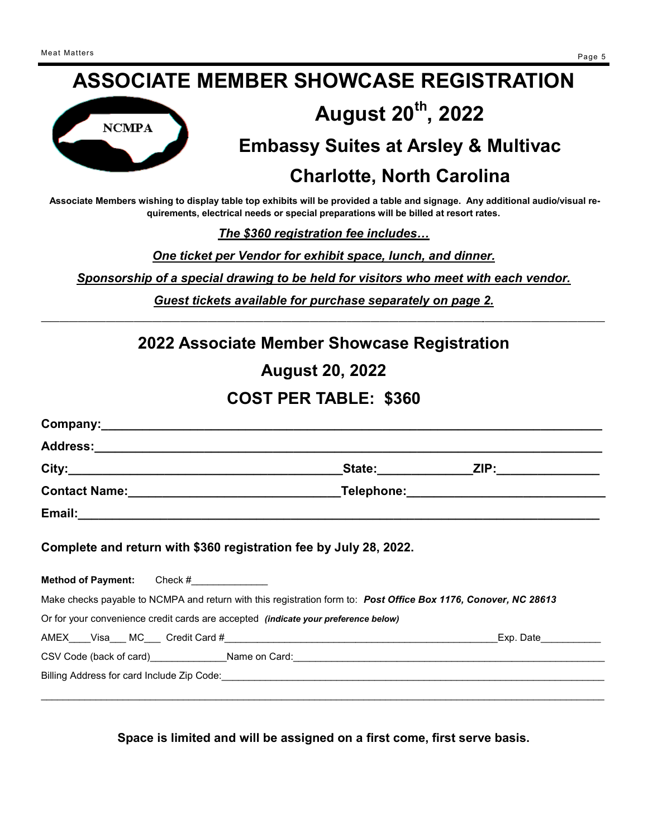# **ASSOCIATE MEMBER SHOWCASE REGISTRATION August 20th, 2022**



## **Embassy Suites at Arsley & Multivac**

## **Charlotte, North Carolina**

**Associate Members wishing to display table top exhibits will be provided a table and signage. Any additional audio/visual requirements, electrical needs or special preparations will be billed at resort rates.** 

*The \$360 registration fee includes…*

*One ticket per Vendor for exhibit space, lunch, and dinner.*

*Sponsorship of a special drawing to be held for visitors who meet with each vendor.*

*Guest tickets available for purchase separately on page 2.* —————————————————————————————————–——————————————-—————————————

## **2022 Associate Member Showcase Registration**

**August 20, 2022**

## **COST PER TABLE: \$360**

|                                                                                                                     | _State:________________ZIP:________________                                                                     |
|---------------------------------------------------------------------------------------------------------------------|-----------------------------------------------------------------------------------------------------------------|
|                                                                                                                     | _Telephone:_________________________________                                                                    |
|                                                                                                                     |                                                                                                                 |
| Complete and return with \$360 registration fee by July 28, 2022.<br><b>Method of Payment:</b> Check #_____________ |                                                                                                                 |
|                                                                                                                     | Make checks payable to NCMPA and return with this registration form to: Post Office Box 1176, Conover, NC 28613 |
| Or for your convenience credit cards are accepted <i>(indicate your preference below)</i>                           |                                                                                                                 |
|                                                                                                                     |                                                                                                                 |
|                                                                                                                     | CSV Code (back of card)______________Name on Card:_______________________________                               |
|                                                                                                                     |                                                                                                                 |
|                                                                                                                     |                                                                                                                 |

**Space is limited and will be assigned on a first come, first serve basis.**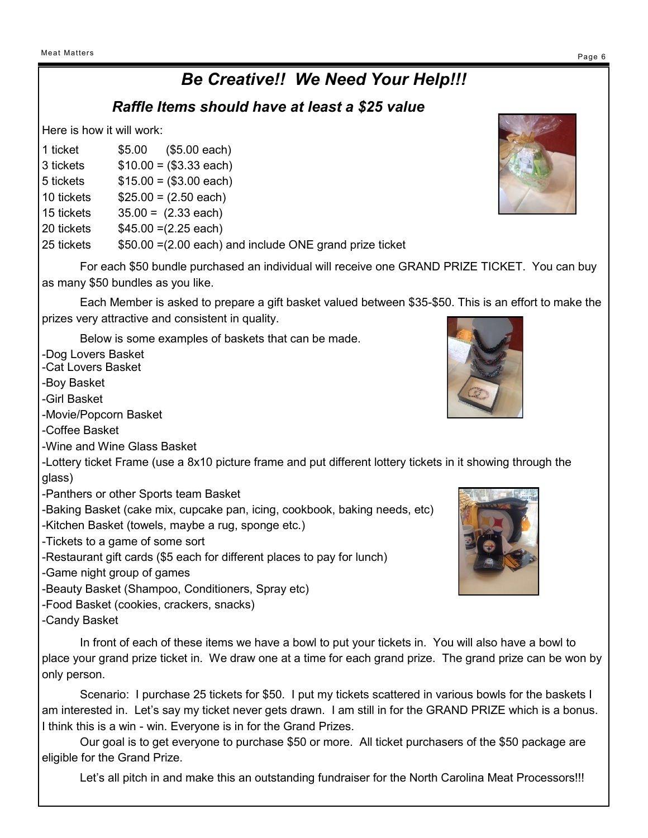## *Be Creative!! We Need Your Help!!!*

### *Raffle Items should have at least a \$25 value*

Here is how it will work:

- 1 ticket \$5.00 (\$5.00 each)
- 3 tickets \$10.00 = (\$3.33 each)
- $5$  tickets  $$15.00 = ($3.00$  each)
- 10 tickets \$25.00 = (2.50 each)
- 15 tickets 35.00 = (2.33 each)
- 20 tickets \$45.00 =(2.25 each)

25 tickets \$50.00 =(2.00 each) and include ONE grand prize ticket

For each \$50 bundle purchased an individual will receive one GRAND PRIZE TICKET. You can buy as many \$50 bundles as you like.

Each Member is asked to prepare a gift basket valued between \$35-\$50. This is an effort to make the prizes very attractive and consistent in quality.

Below is some examples of baskets that can be made.

-Dog Lovers Basket

-Cat Lovers Basket

-Boy Basket

-Girl Basket

-Movie/Popcorn Basket

-Coffee Basket

-Wine and Wine Glass Basket

-Lottery ticket Frame (use a 8x10 picture frame and put different lottery tickets in it showing through the glass)

-Panthers or other Sports team Basket

-Baking Basket (cake mix, cupcake pan, icing, cookbook, baking needs, etc)

- -Kitchen Basket (towels, maybe a rug, sponge etc.)
- -Tickets to a game of some sort
- -Restaurant gift cards (\$5 each for different places to pay for lunch)

-Game night group of games

- -Beauty Basket (Shampoo, Conditioners, Spray etc)
- -Food Basket (cookies, crackers, snacks)

-Candy Basket

In front of each of these items we have a bowl to put your tickets in. You will also have a bowl to place your grand prize ticket in. We draw one at a time for each grand prize. The grand prize can be won by only person.

Scenario: I purchase 25 tickets for \$50. I put my tickets scattered in various bowls for the baskets I am interested in. Let's say my ticket never gets drawn. I am still in for the GRAND PRIZE which is a bonus. I think this is a win - win. Everyone is in for the Grand Prizes.

Our goal is to get everyone to purchase \$50 or more. All ticket purchasers of the \$50 package are eligible for the Grand Prize.

Let's all pitch in and make this an outstanding fundraiser for the North Carolina Meat Processors!!!





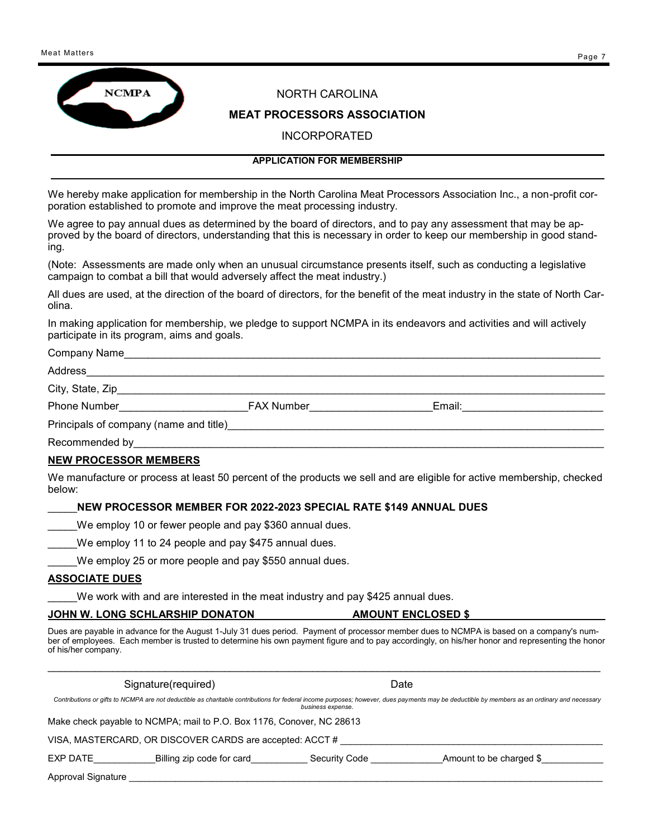



#### NORTH CAROLINA

#### **MEAT PROCESSORS ASSOCIATION**

INCORPORATED

#### **APPLICATION FOR MEMBERSHIP**

We hereby make application for membership in the North Carolina Meat Processors Association Inc., a non-profit corporation established to promote and improve the meat processing industry.

We agree to pay annual dues as determined by the board of directors, and to pay any assessment that may be approved by the board of directors, understanding that this is necessary in order to keep our membership in good standing.

(Note: Assessments are made only when an unusual circumstance presents itself, such as conducting a legislative campaign to combat a bill that would adversely affect the meat industry.)

All dues are used, at the direction of the board of directors, for the benefit of the meat industry in the state of North Carolina.

In making application for membership, we pledge to support NCMPA in its endeavors and activities and will actively participate in its program, aims and goals.

#### Company Name\_\_\_\_\_\_\_\_\_\_\_\_\_\_\_\_\_\_\_\_\_\_\_\_\_\_\_\_\_\_\_\_\_\_\_\_\_\_\_\_\_\_\_\_\_\_\_\_\_\_\_\_\_\_\_\_\_\_\_\_\_\_\_\_\_\_\_\_\_\_\_\_\_\_\_\_\_\_\_\_\_

#### Address\_\_\_\_\_\_\_\_\_\_\_\_\_\_\_\_\_\_\_\_\_\_\_\_\_\_\_\_\_\_\_\_\_\_\_\_\_\_\_\_\_\_\_\_\_\_\_\_\_\_\_\_\_\_\_\_\_\_\_\_\_\_\_\_\_\_\_\_\_\_\_\_\_\_\_\_\_\_\_\_\_\_\_\_\_\_\_\_

#### City, State, Zip

Phone Number\_\_\_\_\_\_\_\_\_\_\_\_\_\_\_\_\_\_\_\_\_\_FAX Number\_\_\_\_\_\_\_\_\_\_\_\_\_\_\_\_\_\_\_\_\_Email:\_\_\_\_\_\_\_\_\_\_\_\_\_\_\_\_\_\_\_\_\_\_\_\_

Principals of company (name and title)

Recommended by

#### **NEW PROCESSOR MEMBERS**

We manufacture or process at least 50 percent of the products we sell and are eligible for active membership, checked below:

#### \_\_\_\_\_**NEW PROCESSOR MEMBER FOR 2022-2023 SPECIAL RATE \$149 ANNUAL DUES**

We employ 10 or fewer people and pay \$360 annual dues.

We employ 11 to 24 people and pay \$475 annual dues.

We employ 25 or more people and pay \$550 annual dues.

#### **ASSOCIATE DUES**

We work with and are interested in the meat industry and pay \$425 annual dues.

#### **JOHN W. LONG SCHLARSHIP DONATON FOR AMOUNT ENCLOSED \$**

Dues are payable in advance for the August 1-July 31 dues period. Payment of processor member dues to NCMPA is based on a company's number of employees. Each member is trusted to determine his own payment figure and to pay accordingly, on his/her honor and representing the honor of his/her company.

Signature(required) and the contract of the Date Date

*Contributions or gifts to NCMPA are not deductible as charitable contributions for federal income purposes; however, dues payments may be deductible by members as an ordinary and necessary business expense.* 

 $\mathcal{L}_\mathcal{L} = \mathcal{L}_\mathcal{L} = \mathcal{L}_\mathcal{L} = \mathcal{L}_\mathcal{L} = \mathcal{L}_\mathcal{L} = \mathcal{L}_\mathcal{L} = \mathcal{L}_\mathcal{L} = \mathcal{L}_\mathcal{L} = \mathcal{L}_\mathcal{L} = \mathcal{L}_\mathcal{L} = \mathcal{L}_\mathcal{L} = \mathcal{L}_\mathcal{L} = \mathcal{L}_\mathcal{L} = \mathcal{L}_\mathcal{L} = \mathcal{L}_\mathcal{L} = \mathcal{L}_\mathcal{L} = \mathcal{L}_\mathcal{L}$ 

Make check payable to NCMPA; mail to P.O. Box 1176, Conover, NC 28613

VISA, MASTERCARD, OR DISCOVER CARDS are accepted: ACCT # \_\_\_\_\_\_\_\_\_\_\_\_\_\_\_\_\_\_\_\_\_\_\_\_\_\_\_\_\_\_\_\_\_\_\_\_\_\_\_\_\_\_\_\_\_\_\_\_\_\_\_

EXP DATE FOR Billing zip code for card Execurity Code Formulation be charged \$

Approval Signature